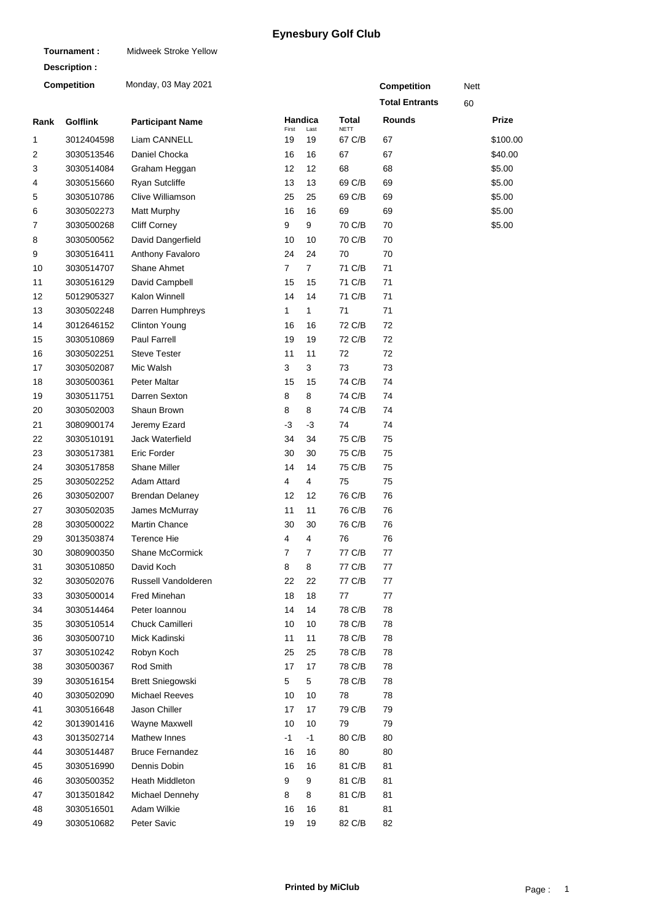## **Eynesbury Golf Club**

| Tournament:        |                 | Midweek Stroke Yellow   |                |                |                       |                       |      |          |  |  |
|--------------------|-----------------|-------------------------|----------------|----------------|-----------------------|-----------------------|------|----------|--|--|
|                    | Description:    |                         |                |                |                       |                       |      |          |  |  |
| <b>Competition</b> |                 | Monday, 03 May 2021     |                |                |                       | <b>Competition</b>    | Nett |          |  |  |
|                    |                 |                         |                |                |                       | <b>Total Entrants</b> | 60   |          |  |  |
| Rank               | <b>Golflink</b> | <b>Participant Name</b> |                | <b>Handica</b> | Total                 | <b>Rounds</b>         |      | Prize    |  |  |
| 1                  | 3012404598      | Liam CANNELL            | First<br>19    | Last<br>19     | <b>NETT</b><br>67 C/B | 67                    |      | \$100.00 |  |  |
| 2                  | 3030513546      | Daniel Chocka           | 16             | 16             | 67                    | 67                    |      | \$40.00  |  |  |
| 3                  | 3030514084      | Graham Heggan           | 12             | 12             | 68                    | 68                    |      | \$5.00   |  |  |
| 4                  | 3030515660      | <b>Ryan Sutcliffe</b>   | 13             | 13             | 69 C/B                | 69                    |      | \$5.00   |  |  |
| 5                  | 3030510786      | Clive Williamson        | 25             | 25             | 69 C/B                | 69                    |      | \$5.00   |  |  |
| 6                  | 3030502273      | Matt Murphy             | 16             | 16             | 69                    | 69                    |      | \$5.00   |  |  |
| 7                  | 3030500268      | <b>Cliff Corney</b>     | 9              | 9              | 70 C/B                | 70                    |      | \$5.00   |  |  |
| 8                  | 3030500562      | David Dangerfield       | 10             | 10             | 70 C/B                | 70                    |      |          |  |  |
| 9                  | 3030516411      | Anthony Favaloro        | 24             | 24             | 70                    | 70                    |      |          |  |  |
| 10                 | 3030514707      | Shane Ahmet             | $\overline{7}$ | $\overline{7}$ | 71 C/B                | 71                    |      |          |  |  |
| 11                 | 3030516129      | David Campbell          | 15             | 15             | 71 C/B                | 71                    |      |          |  |  |
| 12                 | 5012905327      | Kalon Winnell           | 14             | 14             | 71 C/B                | 71                    |      |          |  |  |
| 13                 | 3030502248      | Darren Humphreys        | 1              | 1              | 71                    | 71                    |      |          |  |  |
| 14                 | 3012646152      | <b>Clinton Young</b>    | 16             | 16             | 72 C/B                | 72                    |      |          |  |  |
| 15                 | 3030510869      | <b>Paul Farrell</b>     | 19             | 19             | 72 C/B                | 72                    |      |          |  |  |
| 16                 | 3030502251      | <b>Steve Tester</b>     | 11             | 11             | 72                    | 72                    |      |          |  |  |
| 17                 | 3030502087      | Mic Walsh               | 3              | 3              | 73                    | 73                    |      |          |  |  |
| 18                 | 3030500361      | Peter Maltar            | 15             | 15             | 74 C/B                | 74                    |      |          |  |  |
| 19                 | 3030511751      | Darren Sexton           | 8              | 8              | 74 C/B                | 74                    |      |          |  |  |
| 20                 | 3030502003      | Shaun Brown             | 8              | 8              | 74 C/B                | 74                    |      |          |  |  |
| 21                 | 3080900174      | Jeremy Ezard            | -3             | -3             | 74                    | 74                    |      |          |  |  |
| 22                 | 3030510191      | Jack Waterfield         | 34             | 34             | 75 C/B                | 75                    |      |          |  |  |
| 23                 | 3030517381      | Eric Forder             | 30             | 30             | 75 C/B                | 75                    |      |          |  |  |
| 24                 | 3030517858      | <b>Shane Miller</b>     | 14             | 14             | 75 C/B                | 75                    |      |          |  |  |
| 25                 | 3030502252      | <b>Adam Attard</b>      | 4              | 4              | 75                    | 75                    |      |          |  |  |
| 26                 | 3030502007      | <b>Brendan Delaney</b>  | 12             | 12             | 76 C/B                | 76                    |      |          |  |  |
| 27                 | 3030502035      | James McMurray          | 11             | 11             | 76 C/B                | 76                    |      |          |  |  |
| 28                 | 3030500022      | Martin Chance           | 30             | 30             | 76 C/B                | 76                    |      |          |  |  |
| 29                 | 3013503874      | Terence Hie             | 4              | 4              | 76                    | 76                    |      |          |  |  |
| 30                 | 3080900350      | Shane McCormick         | 7              | 7              | 77 C/B                | 77                    |      |          |  |  |
| 31                 | 3030510850      | David Koch              | 8              | 8              | 77 C/B                | 77                    |      |          |  |  |
| 32                 | 3030502076      | Russell Vandolderen     | 22             | 22             | 77 C/B                | 77                    |      |          |  |  |
| 33                 | 3030500014      | Fred Minehan            | 18             | 18             | 77                    | 77                    |      |          |  |  |
| 34                 | 3030514464      | Peter Ioannou           | 14             | 14             | 78 C/B                | 78                    |      |          |  |  |
| 35                 | 3030510514      | Chuck Camilleri         | 10             | 10             | 78 C/B                | 78                    |      |          |  |  |
| 36                 | 3030500710      | Mick Kadinski           | 11             | 11             | 78 C/B                | 78                    |      |          |  |  |
| 37                 | 3030510242      | Robyn Koch              | 25             | 25             | 78 C/B                | 78                    |      |          |  |  |
| 38                 | 3030500367      | Rod Smith               | 17             | 17             | 78 C/B                | 78                    |      |          |  |  |
| 39                 | 3030516154      | Brett Sniegowski        | 5              | 5              | 78 C/B                | 78                    |      |          |  |  |
| 40                 | 3030502090      | <b>Michael Reeves</b>   | 10             | 10             | 78                    | 78                    |      |          |  |  |
| 41                 | 3030516648      | Jason Chiller           | 17             | 17             | 79 C/B                | 79                    |      |          |  |  |
| 42                 | 3013901416      | Wayne Maxwell           | 10             | 10             | 79                    | 79                    |      |          |  |  |
| 43                 | 3013502714      | Mathew Innes            | -1             | $-1$           | 80 C/B                | 80                    |      |          |  |  |
| 44                 | 3030514487      | <b>Bruce Fernandez</b>  | 16             | 16             | 80                    | 80                    |      |          |  |  |
| 45                 | 3030516990      | Dennis Dobin            | 16             | 16             | 81 C/B                | 81                    |      |          |  |  |
| 46                 | 3030500352      | Heath Middleton         | 9              | 9              | 81 C/B                | 81                    |      |          |  |  |
| 47                 | 3013501842      | Michael Dennehy         | 8              | 8              | 81 C/B                | 81                    |      |          |  |  |
| 48                 | 3030516501      | Adam Wilkie             | 16             | 16             | 81                    | 81                    |      |          |  |  |
| 49                 | 3030510682      | Peter Savic             | 19             | 19             | 82 C/B                | 82                    |      |          |  |  |